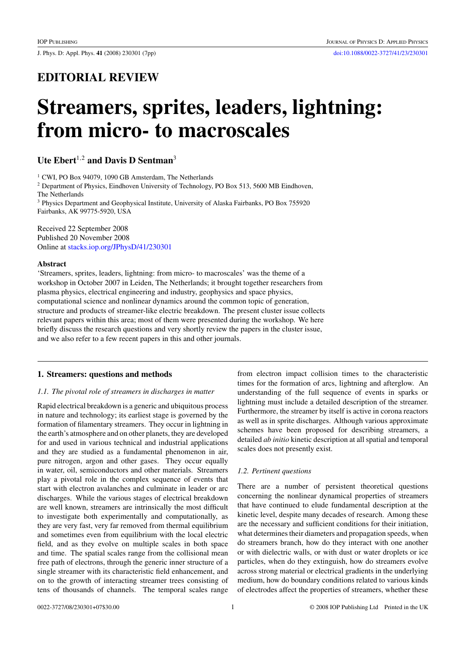J. Phys. D: Appl. Phys. **41** (2008) 230301 (7pp) [doi:10.1088/0022-3727/41/23/230301](http://dx.doi.org/10.1088/0022-3727/41/23/230301)

# **EDITORIAL REVIEW**

# **Streamers, sprites, leaders, lightning: from micro- to macroscales**

**Ute Ebert**<sup>1</sup>*,*<sup>2</sup> **and Davis D Sentman**<sup>3</sup>

<sup>1</sup> CWI, PO Box 94079, 1090 GB Amsterdam, The Netherlands

<sup>2</sup> Department of Physics, Eindhoven University of Technology, PO Box 513, 5600 MB Eindhoven, The Netherlands

<sup>3</sup> Physics Department and Geophysical Institute, University of Alaska Fairbanks, PO Box 755920 Fairbanks, AK 99775-5920, USA

Received 22 September 2008 Published 20 November 2008 Online at [stacks.iop.org/JPhysD/41/230301](http://stacks.iop.org/JPhysD/41/230301)

# **Abstract**

'Streamers, sprites, leaders, lightning: from micro- to macroscales' was the theme of a workshop in October 2007 in Leiden, The Netherlands; it brought together researchers from plasma physics, electrical engineering and industry, geophysics and space physics, computational science and nonlinear dynamics around the common topic of generation, structure and products of streamer-like electric breakdown. The present cluster issue collects relevant papers within this area; most of them were presented during the workshop. We here briefly discuss the research questions and very shortly review the papers in the cluster issue, and we also refer to a few recent papers in this and other journals.

# **1. Streamers: questions and methods**

# *1.1. The pivotal role of streamers in discharges in matter*

Rapid electrical breakdown is a generic and ubiquitous process in nature and technology; its earliest stage is governed by the formation of filamentary streamers. They occur in lightning in the earth's atmosphere and on other planets, they are developed for and used in various technical and industrial applications and they are studied as a fundamental phenomenon in air, pure nitrogen, argon and other gases. They occur equally in water, oil, semiconductors and other materials. Streamers play a pivotal role in the complex sequence of events that start with electron avalanches and culminate in leader or arc discharges. While the various stages of electrical breakdown are well known, streamers are intrinsically the most difficult to investigate both experimentally and computationally, as they are very fast, very far removed from thermal equilibrium and sometimes even from equilibrium with the local electric field, and as they evolve on multiple scales in both space and time. The spatial scales range from the collisional mean free path of electrons, through the generic inner structure of a single streamer with its characteristic field enhancement, and on to the growth of interacting streamer trees consisting of tens of thousands of channels. The temporal scales range

from electron impact collision times to the characteristic times for the formation of arcs, lightning and afterglow. An understanding of the full sequence of events in sparks or lightning must include a detailed description of the streamer. Furthermore, the streamer by itself is active in corona reactors as well as in sprite discharges. Although various approximate schemes have been proposed for describing streamers, a detailed *ab initio* kinetic description at all spatial and temporal scales does not presently exist.

# *1.2. Pertinent questions*

There are a number of persistent theoretical questions concerning the nonlinear dynamical properties of streamers that have continued to elude fundamental description at the kinetic level, despite many decades of research. Among these are the necessary and sufficient conditions for their initiation, what determines their diameters and propagation speeds, when do streamers branch, how do they interact with one another or with dielectric walls, or with dust or water droplets or ice particles, when do they extinguish, how do streamers evolve across strong material or electrical gradients in the underlying medium, how do boundary conditions related to various kinds of electrodes affect the properties of streamers, whether these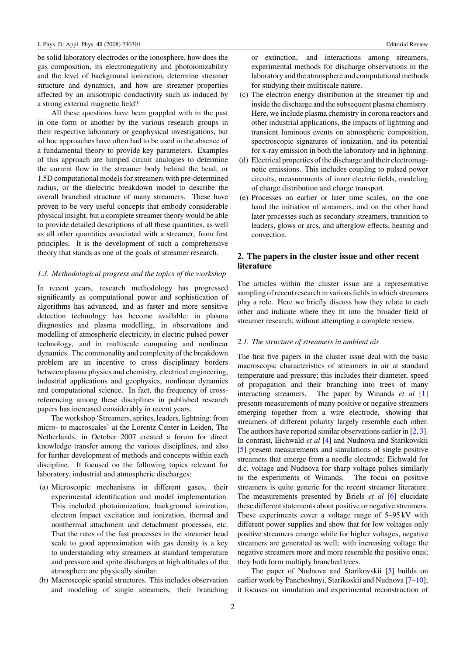be solid laboratory electrodes or the ionosphere, how does the gas composition, its electronegativity and photoionizability and the level of background ionization, determine streamer structure and dynamics, and how are streamer properties affected by an anisotropic conductivity such as induced by a strong external magnetic field?

All these questions have been grappled with in the past in one form or another by the various research groups in their respective laboratory or geophysical investigations, but ad hoc approaches have often had to be used in the absence of a fundamental theory to provide key parameters. Examples of this approach are lumped circuit analogies to determine the current flow in the streamer body behind the head, or 1.5D computational models for streamers with pre-determined radius, or the dielectric breakdown model to describe the overall branched structure of many streamers. These have proven to be very useful concepts that embody considerable physical insight, but a complete streamer theory would be able to provide detailed descriptions of all these quantities, as well as all other quantities associated with a streamer, from first principles. It is the development of such a comprehensive theory that stands as one of the goals of streamer research.

#### *1.3. Methodological progress and the topics of the workshop*

In recent years, research methodology has progressed significantly as computational power and sophistication of algorithms has advanced, and as faster and more sensitive detection technology has become available: in plasma diagnostics and plasma modelling, in observations and modelling of atmospheric electricity, in electric pulsed power technology, and in multiscale computing and nonlinear dynamics. The commonality and complexity of the breakdown problem are an incentive to cross disciplinary borders between plasma physics and chemistry, electrical engineering, industrial applications and geophysics, nonlinear dynamics and computational science. In fact, the frequency of crossreferencing among these disciplines in published research papers has increased considerably in recent years.

The workshop 'Streamers, sprites, leaders, lightning: from micro- to macroscales' at the Lorentz Center in Leiden, The Netherlands, in October 2007 created a forum for direct knowledge transfer among the various disciplines, and also for further development of methods and concepts within each discipline. It focused on the following topics relevant for laboratory, industrial and atmospheric discharges:

- (a) Microscopic mechanisms in different gases, their experimental identification and model implementation. This included photoionization, background ionization, electron impact excitation and ionization, thermal and nonthermal attachment and detachment processes, etc. That the rates of the fast processes in the streamer head scale to good approximation with gas density is a key to understanding why streamers at standard temperature and pressure and sprite discharges at high altitudes of the atmosphere are physically similar.
- (b) Macroscopic spatial structures. This includes observation and modeling of single streamers, their branching

or extinction, and interactions among streamers, experimental methods for discharge observations in the laboratory and the atmosphere and computational methods for studying their multiscale nature.

- (c) The electron energy distribution at the streamer tip and inside the discharge and the subsequent plasma chemistry. Here, we include plasma chemistry in corona reactors and other industrial applications, the impacts of lightning and transient luminous events on atmospheric composition, spectroscopic signatures of ionization, and its potential for x-ray emission in both the laboratory and in lightning.
- (d) Electrical properties of the discharge and their electromagnetic emissions. This includes coupling to pulsed power circuits, measurements of inner electric fields, modeling of charge distribution and charge transport.
- (e) Processes on earlier or later time scales, on the one hand the initiation of streamers, and on the other hand later processes such as secondary streamers, transition to leaders, glows or arcs, and afterglow effects, heating and convection.

# **2. The papers in the cluster issue and other recent literature**

The articles within the cluster issue are a representative sampling of recent research in various fields in which streamers play a role. Here we briefly discuss how they relate to each other and indicate where they fit into the broader field of streamer research, without attempting a complete review.

#### *2.1. The structure of streamers in ambient air*

The first five papers in the cluster issue deal with the basic macroscopic characteristics of streamers in air at standard temperature and pressure; this includes their diameter, speed of propagation and their branching into trees of many interacting streamers. The paper by Winands *et al* [\[1\]](#page-4-0) presents measurements of many positive or negative streamers emerging together from a wire electrode, showing that streamers of different polarity largely resemble each other. The authors have reported similar observations earlier in [\[2,](#page-4-0) [3\]](#page-4-0). In contrast, Eichwald *et al* [\[4\]](#page-4-0) and Nudnova and Starikovskii [\[5\]](#page-4-0) present measurements and simulations of single positive streamers that emerge from a needle electrode; Eichwald for d.c. voltage and Nudnova for sharp voltage pulses similarly to the experiments of Winands. The focus on positive streamers is quite generic for the recent streamer literature. The measurements presented by Briels *et al* [\[6\]](#page-5-0) elucidate these different statements about positive or negative streamers. These experiments cover a voltage range of 5–95 kV with different power supplies and show that for low voltages only positive streamers emerge while for higher voltages, negative streamers are generated as well; with increasing voltage the negative streamers more and more resemble the positive ones; they both form multiply branched trees.

The paper of Nudnova and Starikovskii [\[5\]](#page-4-0) builds on earlier work by Pancheshnyi, Starikoskii and Nudnova [\[7–10\]](#page-5-0); it focuses on simulation and experimental reconstruction of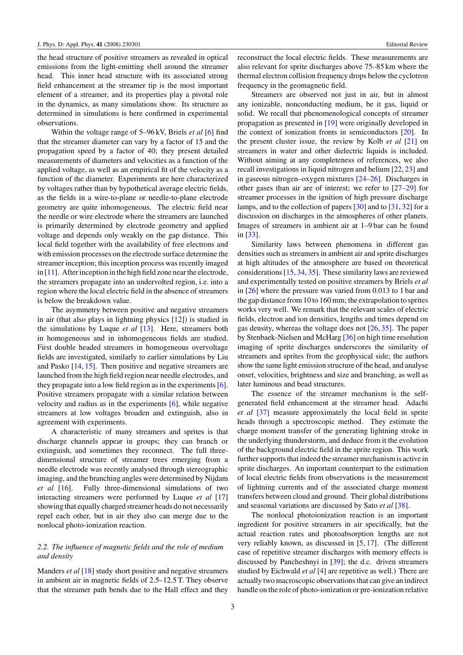the head structure of positive streamers as revealed in optical emissions from the light-emitting shell around the streamer head. This inner head structure with its associated strong field enhancement at the streamer tip is the most important element of a streamer, and its properties play a pivotal role in the dynamics, as many simulations show. Its structure as determined in simulations is here confirmed in experimental observations.

Within the voltage range of 5–96 kV, Briels *et al* [\[6\]](#page-5-0) find that the streamer diameter can vary by a factor of 15 and the propagation speed by a factor of 40; they present detailed measurements of diameters and velocities as a function of the applied voltage, as well as an empirical fit of the velocity as a function of the diameter. Experiments are here characterized by voltages rather than by hypothetical average electric fields, as the fields in a wire-to-plane or needle-to-plane electrode geometry are quite inhomogeneous. The electric field near the needle or wire electrode where the streamers are launched is primarily determined by electrode geometry and applied voltage and depends only weakly on the gap distance. This local field together with the availability of free electrons and with emission processes on the electrode surface determine the streamer inception; this inception process was recently imaged in [\[11\]](#page-5-0). After inception in the high field zone near the electrode, the streamers propagate into an undervolted region, i.e. into a region where the local electric field in the absence of streamers is below the breakdown value.

The asymmetry between positive and negative streamers in air (that also plays in lightning physics [\[12\]](#page-5-0)) is studied in the simulations by Luque *et al* [\[13\]](#page-5-0). Here, streamers both in homogeneous and in inhomogeneous fields are studied. First double headed streamers in homogeneous overvoltage fields are investigated, similarly to earlier simulations by Liu and Pasko [\[14,](#page-5-0) [15\]](#page-5-0). Then positive and negative streamers are launched from the high field region near needle electrodes, and they propagate into a low field region as in the experiments [\[6\]](#page-5-0). Positive streamers propagate with a similar relation between velocity and radius as in the experiments [\[6\]](#page-5-0), while negative streamers at low voltages broaden and extinguish, also in agreement with experiments.

A characteristic of many streamers and sprites is that discharge channels appear in groups; they can branch or extinguish, and sometimes they reconnect. The full threedimensional structure of streamer trees emerging from a needle electrode was recently analysed through stereographic imaging, and the branching angles were determined by Nijdam *et al* [\[16\]](#page-5-0). Fully three-dimensional simulations of two interacting streamers were performed by Luque *et al* [\[17\]](#page-5-0) showing that equally charged streamer heads do not necessarily repel each other, but in air they also can merge due to the nonlocal photo-ionization reaction.

# *2.2. The influence of magnetic fields and the role of medium and density*

Manders *et al* [\[18\]](#page-5-0) study short positive and negative streamers in ambient air in magnetic fields of 2.5–12.5 T. They observe that the streamer path bends due to the Hall effect and they reconstruct the local electric fields. These measurements are also relevant for sprite discharges above 75–85 km where the thermal electron collision frequency drops below the cyclotron frequency in the geomagnetic field.

Streamers are observed not just in air, but in almost any ionizable, nonconducting medium, be it gas, liquid or solid. We recall that phenomenological concepts of streamer propagation as presented in [\[19\]](#page-5-0) were originally developed in the context of ionization fronts in semiconductors [\[20\]](#page-5-0). In the present cluster issue, the review by Kolb *et al* [\[21\]](#page-5-0) on streamers in water and other dielectric liquids is included. Without aiming at any completeness of references, we also recall investigations in liquid nitrogen and helium [\[22,](#page-5-0) [23\]](#page-5-0) and in gaseous nitrogen–oxygen mixtures [\[24–26\]](#page-5-0). Discharges in other gases than air are of interest; we refer to [\[27–29\]](#page-5-0) for streamer processes in the ignition of high pressure discharge lamps, and to the collection of papers [\[30\]](#page-5-0) and to [\[31,](#page-5-0) [32\]](#page-5-0) for a discussion on discharges in the atmospheres of other planets. Images of streamers in ambient air at 1–9 bar can be found in [\[33\]](#page-5-0).

Similarity laws between phenomena in different gas densities such as streamers in ambient air and sprite discharges at high altitudes of the atmosphere are based on theoretical considerations [\[15,](#page-5-0) [34,](#page-5-0) [35\]](#page-5-0). These similarity laws are reviewed and experimentally tested on positive streamers by Briels *et al* in [\[26\]](#page-5-0) where the pressure was varied from 0.013 to 1 bar and the gap distance from 10 to 160 mm; the extrapolation to sprites works very well. We remark that the relevant scales of electric fields, electron and ion densities, lengths and times depend on gas density, whereas the voltage does not [\[26,](#page-5-0) [35\]](#page-5-0). The paper by Stenbaek-Nielsen and McHarg [\[36\]](#page-5-0) on high time resolution imaging of sprite discharges underscores the similarity of streamers and sprites from the geophysical side; the authors show the same light emission structure of the head, and analyse onset, velocities, brightness and size and branching, as well as later luminous and bead structures.

The essence of the streamer mechanism is the selfgenerated field enhancement at the streamer head. Adachi *et al* [\[37\]](#page-5-0) measure approximately the local field in sprite heads through a spectroscopic method. They estimate the charge moment transfer of the generating lightning stroke in the underlying thunderstorm, and deduce from it the evolution of the background electric field in the sprite region. This work further supports that indeed the streamer mechanism is active in sprite discharges. An important counterpart to the estimation of local electric fields from observations is the measurement of lightning currents and of the associated charge moment transfers between cloud and ground. Their global distributions and seasonal variations are discussed by Sato *et al* [\[38\]](#page-5-0).

The nonlocal photoionization reaction is an important ingredient for positive streamers in air specifically, but the actual reaction rates and photoabsorption lengths are not very reliably known, as discussed in [\[5,](#page-4-0) [17\]](#page-5-0). (The different case of repetitive streamer discharges with memory effects is discussed by Pancheshnyi in [\[39\]](#page-5-0); the d.c. driven streamers studied by Eichwald *et al* [\[4\]](#page-4-0) are repetitive as well.) There are actually two macroscopic observations that can give an indirect handle on the role of photo-ionization or pre-ionization relative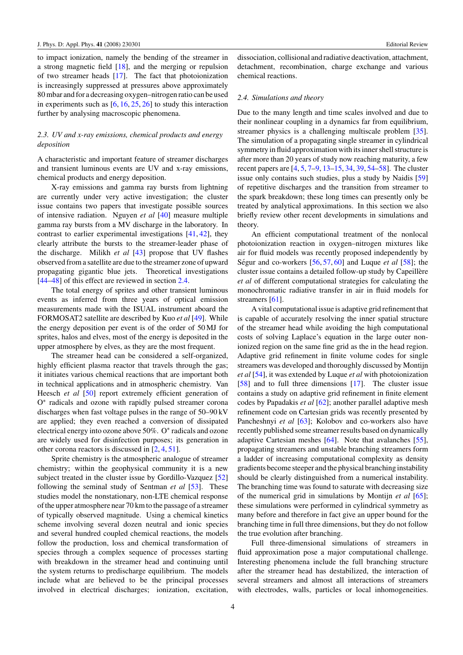to impact ionization, namely the bending of the streamer in a strong magnetic field [\[18\]](#page-5-0), and the merging or repulsion of two streamer heads [\[17\]](#page-5-0). The fact that photoionization is increasingly suppressed at pressures above approximately 80 mbar and for a decreasing oxygen–nitrogen ratio can be used in experiments such as  $[6, 16, 25, 26]$  $[6, 16, 25, 26]$  $[6, 16, 25, 26]$  $[6, 16, 25, 26]$  $[6, 16, 25, 26]$  $[6, 16, 25, 26]$  $[6, 16, 25, 26]$  to study this interaction further by analysing macroscopic phenomena.

# *2.3. UV and x-ray emissions, chemical products and energy deposition*

A characteristic and important feature of streamer discharges and transient luminous events are UV and x-ray emissions, chemical products and energy deposition.

X-ray emissions and gamma ray bursts from lightning are currently under very active investigation; the cluster issue contains two papers that investigate possible sources of intensive radiation. Nguyen *et al* [\[40\]](#page-5-0) measure multiple gamma ray bursts from a MV discharge in the laboratory. In contrast to earlier experimental investigations [\[41,](#page-5-0) [42\]](#page-5-0), they clearly attribute the bursts to the streamer-leader phase of the discharge. Milikh *et al* [\[43\]](#page-5-0) propose that UV flashes observed from a satellite are due to the streamer zone of upward propagating gigantic blue jets. Theoretical investigations [\[44–48\]](#page-5-0) of this effect are reviewed in section 2.4.

The total energy of sprites and other transient luminous events as inferred from three years of optical emission measurements made with the ISUAL instrument aboard the FORMOSAT2 satellite are described by Kuo *et al* [\[49\]](#page-5-0). While the energy deposition per event is of the order of 50 MJ for sprites, halos and elves, most of the energy is deposited in the upper atmosphere by elves, as they are the most frequent.

The streamer head can be considered a self-organized, highly efficient plasma reactor that travels through the gas; it initiates various chemical reactions that are important both in technical applications and in atmospheric chemistry. Van Heesch *et al* [\[50\]](#page-5-0) report extremely efficient generation of O<sup>∗</sup> radicals and ozone with rapidly pulsed streamer corona discharges when fast voltage pulses in the range of 50–90 kV are applied; they even reached a conversion of dissipated electrical energy into ozone above 50%. O<sup>∗</sup> radicals and ozone are widely used for disinfection purposes; its generation in other corona reactors is discussed in [\[2,](#page-4-0) [4,](#page-4-0) [51\]](#page-6-0).

Sprite chemistry is the atmospheric analogue of streamer chemistry; within the geophysical community it is a new subject treated in the cluster issue by Gordillo-Vazquez [\[52\]](#page-6-0) following the seminal study of Sentman *et al* [\[53\]](#page-6-0). These studies model the nonstationary, non-LTE chemical response of the upper atmosphere near 70 km to the passage of a streamer of typically observed magnitude. Using a chemical kinetics scheme involving several dozen neutral and ionic species and several hundred coupled chemical reactions, the models follow the production, loss and chemical transformation of species through a complex sequence of processes starting with breakdown in the streamer head and continuing until the system returns to predischarge equilibrium. The models include what are believed to be the principal processes involved in electrical discharges; ionization, excitation,

dissociation, collisional and radiative deactivation, attachment, detachment, recombination, charge exchange and various chemical reactions.

### *2.4. Simulations and theory*

Due to the many length and time scales involved and due to their nonlinear coupling in a dynamics far from equilibrium, streamer physics is a challenging multiscale problem [\[35\]](#page-5-0). The simulation of a propagating single streamer in cylindrical symmetry in fluid approximation with its inner shell structure is after more than 20 years of study now reaching maturity, a few recent papers are [\[4,](#page-4-0) [5,](#page-4-0) [7–9,](#page-5-0) [13–15,](#page-5-0) [34,](#page-5-0) [39,](#page-5-0) [54–58\]](#page-6-0). The cluster issue only contains such studies, plus a study by Naidis [\[59\]](#page-6-0) of repetitive discharges and the transition from streamer to the spark breakdown; these long times can presently only be treated by analytical approximations. In this section we also briefly review other recent developments in simulations and theory.

An efficient computational treatment of the nonlocal photoionization reaction in oxygen–nitrogen mixtures like air for fluid models was recently proposed independently by Ségur and co-workers [[56,](#page-6-0) [57,](#page-6-0) [60\]](#page-6-0) and Luque *et al* [\[58\]](#page-6-0); the cluster issue contains a detailed follow-up study by Capeillere ` *et al* of different computational strategies for calculating the monochromatic radiative transfer in air in fluid models for streamers [\[61\]](#page-6-0).

A vital computational issue is adaptive grid refinement that is capable of accurately resolving the inner spatial structure of the streamer head while avoiding the high computational costs of solving Laplace's equation in the large outer nonionized region on the same fine grid as the in the head region. Adaptive grid refinement in finite volume codes for single streamers was developed and thoroughly discussed by Montijn *et al* [\[54\]](#page-6-0), it was extended by Luque *et al* with photoionization [\[58\]](#page-6-0) and to full three dimensions [\[17\]](#page-5-0). The cluster issue contains a study on adaptive grid refinement in finite element codes by Papadakis *et al* [\[62\]](#page-6-0); another parallel adaptive mesh refinement code on Cartesian grids was recently presented by Pancheshnyi *et al* [\[63\]](#page-6-0); Kolobov and co-workers also have recently published some streamer results based on dynamically adaptive Cartesian meshes [\[64\]](#page-6-0). Note that avalanches [\[55\]](#page-6-0), propagating streamers and unstable branching streamers form a ladder of increasing computational complexity as density gradients become steeper and the physical branching instability should be clearly distinguished from a numerical instability. The branching time was found to saturate with decreasing size of the numerical grid in simulations by Montijn *et al* [\[65\]](#page-6-0); these simulations were performed in cylindrical symmetry as many before and therefore in fact give an upper bound for the branching time in full three dimensions, but they do not follow the true evolution after branching.

Full three-dimensional simulations of streamers in fluid approximation pose a major computational challenge. Interesting phenomena include the full branching structure after the streamer head has destabilized, the interaction of several streamers and almost all interactions of streamers with electrodes, walls, particles or local inhomogeneities.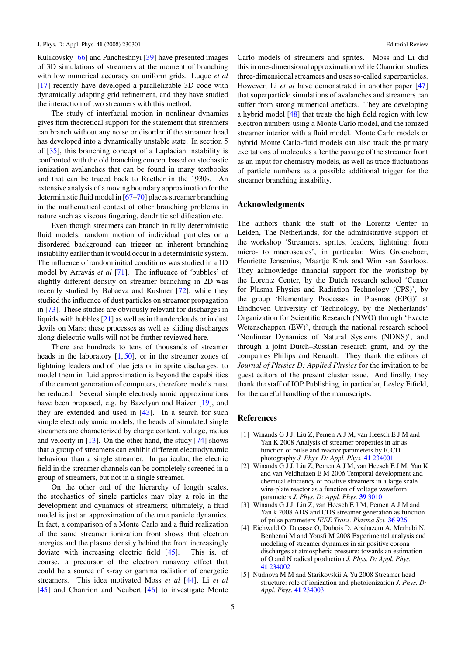<span id="page-4-0"></span>Kulikovsky [\[66\]](#page-6-0) and Pancheshnyi [\[39\]](#page-5-0) have presented images of 3D simulations of streamers at the moment of branching with low numerical accuracy on uniform grids. Luque *et al* [\[17\]](#page-5-0) recently have developed a parallelizable 3D code with dynamically adapting grid refinement, and they have studied the interaction of two streamers with this method.

The study of interfacial motion in nonlinear dynamics gives firm theoretical support for the statement that streamers can branch without any noise or disorder if the streamer head has developed into a dynamically unstable state. In section 5 of [\[35\]](#page-5-0), this branching concept of a Laplacian instability is confronted with the old branching concept based on stochastic ionization avalanches that can be found in many textbooks and that can be traced back to Raether in the 1930s. An extensive analysis of a moving boundary approximation for the deterministic fluid model in [\[67–70\]](#page-6-0) places streamer branching in the mathematical context of other branching problems in nature such as viscous fingering, dendritic solidification etc.

Even though streamers can branch in fully deterministic fluid models, random motion of individual particles or a disordered background can trigger an inherent branching instability earlier than it would occur in a deterministic system. The influence of random initial conditions was studied in a 1D model by Arrayás et al [\[71\]](#page-6-0). The influence of 'bubbles' of slightly different density on streamer branching in 2D was recently studied by Babaeva and Kushner [\[72\]](#page-6-0), while they studied the influence of dust particles on streamer propagation in [\[73\]](#page-6-0). These studies are obviously relevant for discharges in liquids with bubbles [\[21\]](#page-5-0) as well as in thunderclouds or in dust devils on Mars; these processes as well as sliding discharges along dielectric walls will not be further reviewed here.

There are hundreds to tens of thousands of streamer heads in the laboratory  $[1, 50]$  $[1, 50]$ , or in the streamer zones of lightning leaders and of blue jets or in sprite discharges; to model them in fluid approximation is beyond the capabilities of the current generation of computers, therefore models must be reduced. Several simple electrodynamic approximations have been proposed, e.g. by Bazelyan and Raizer [\[19\]](#page-5-0), and they are extended and used in  $[43]$ . In a search for such simple electrodynamic models, the heads of simulated single streamers are characterized by charge content, voltage, radius and velocity in  $[13]$ . On the other hand, the study  $[74]$  shows that a group of streamers can exhibit different electrodynamic behaviour than a single streamer. In particular, the electric field in the streamer channels can be completely screened in a group of streamers, but not in a single streamer.

On the other end of the hierarchy of length scales, the stochastics of single particles may play a role in the development and dynamics of streamers; ultimately, a fluid model is just an approximation of the true particle dynamics. In fact, a comparison of a Monte Carlo and a fluid realization of the same streamer ionization front shows that electron energies and the plasma density behind the front increasingly deviate with increasing electric field [\[45\]](#page-5-0). This is, of course, a precursor of the electron runaway effect that could be a source of x-ray or gamma radiation of energetic streamers. This idea motivated Moss *et al* [\[44\]](#page-5-0), Li *et al* [\[45\]](#page-5-0) and Chanrion and Neubert [\[46\]](#page-5-0) to investigate Monte Carlo models of streamers and sprites. Moss and Li did this in one-dimensional approximation while Chanrion studies three-dimensional streamers and uses so-called superparticles. However, Li *et al* have demonstrated in another paper [\[47\]](#page-5-0) that superparticle simulations of avalanches and streamers can suffer from strong numerical artefacts. They are developing a hybrid model [\[48\]](#page-5-0) that treats the high field region with low electron numbers using a Monte Carlo model, and the ionized streamer interior with a fluid model. Monte Carlo models or hybrid Monte Carlo-fluid models can also track the primary excitations of molecules after the passage of the streamer front as an input for chemistry models, as well as trace fluctuations of particle numbers as a possible additional trigger for the streamer branching instability.

#### **Acknowledgments**

The authors thank the staff of the Lorentz Center in Leiden, The Netherlands, for the administrative support of the workshop 'Streamers, sprites, leaders, lightning: from micro- to macroscales', in particular, Wies Groeneboer, Henriette Jensenius, Maartje Kruk and Wim van Saarloos. They acknowledge financial support for the workshop by the Lorentz Center, by the Dutch research school 'Center for Plasma Physics and Radiation Technology (CPS)', by the group 'Elementary Processes in Plasmas (EPG)' at Eindhoven University of Technology, by the Netherlands' Organization for Scientific Research (NWO) through 'Exacte Wetenschappen (EW)', through the national research school 'Nonlinear Dynamics of Natural Systems (NDNS)', and through a joint Dutch–Russian research grant, and by the companies Philips and Renault. They thank the editors of *Journal of Physics D: Applied Physics* for the invitation to be guest editors of the present cluster issue. And finally, they thank the staff of IOP Publishing, in particular, Lesley Fifield, for the careful handling of the manuscripts.

#### **References**

- [1] Winands G J J, Liu Z, Pemen A J M, van Heesch E J M and Yan K 2008 Analysis of streamer properties in air as function of pulse and reactor parameters by ICCD photography *J. Phys. D: Appl. Phys.* **41** [234001](http://dx.doi.org/10.1088/0022-3727/41/23/234001)
- [2] Winands G J J, Liu Z, Pemen A J M, van Heesch E J M, Yan K and van Veldhuizen E M 2006 Temporal development and chemical efficiency of positive streamers in a large scale wire-plate reactor as a function of voltage waveform parameters *J. Phys. D: Appl. Phys.* **39** [3010](http://dx.doi.org/10.1088/0022-3727/39/14/020)
- [3] Winands G J J, Liu Z, van Heesch E J M, Pemen A J M and Yan k 2008 ADS and CDS streamer generation as function of pulse parameters *IEEE Trans. Plasma Sci.* **36** [926](http://dx.doi.org/10.1109/TPS.2008.924097)
- [4] Eichwald O, Ducasse O, Dubois D, Abahazem A, Merhabi N, Benhenni M and Yousfi M 2008 Experimental analysis and modeling of streamer dynamics in air positive corona discharges at atmospheric pressure: towards an estimation of O and N radical production *J. Phys. D: Appl. Phys.* **41** [234002](http://dx.doi.org/10.1088/0022-3727/41/23/234002)
- [5] Nudnova M M and Starikovskii A Yu 2008 Streamer head structure: role of ionization and photoionization *J. Phys. D: Appl. Phys.* **41** [234003](http://dx.doi.org/10.1088/0022-3727/41/23/234003)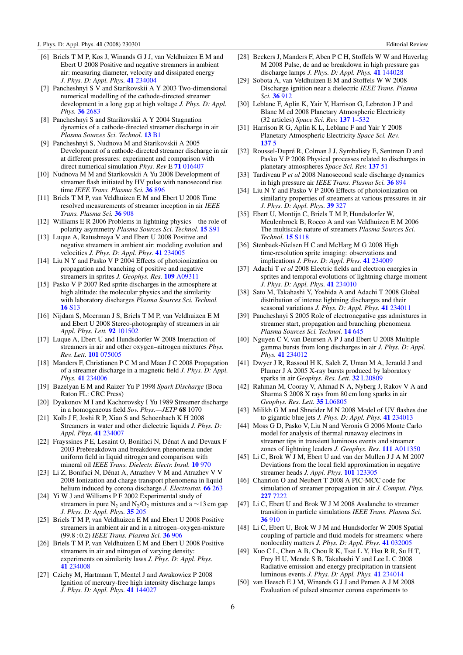- <span id="page-5-0"></span>[6] Briels T M P, Kos J, Winands G J J, van Veldhuizen E M and Ebert U 2008 Positive and negative streamers in ambient air: measuring diameter, velocity and dissipated energy *J. Phys. D: Appl. Phys.* **41** [234004](http://dx.doi.org/10.1088/0022-3727/41/23/234004)
- [7] Pancheshnyi S V and Starikovskii A Y 2003 Two-dimensional numerical modelling of the cathode-directed streamer development in a long gap at high voltage *J. Phys. D: Appl. Phys.* **36** [2683](http://dx.doi.org/10.1088/0022-3727/36/21/014)
- [8] Pancheshnyi S and Starikovskii A Y 2004 Stagnation dynamics of a cathode-directed streamer discharge in air *Plasma Sources Sci. Technol.* **13** [B1](http://dx.doi.org/10.1088/0963-0252/13/3/B01)
- [9] Pancheshnyi S, Nudnova M and Starikovskii A 2005 Development of a cathode-directed streamer discharge in air at different pressures: experiment and comparison with direct numerical simulation *Phys. Rev* E **71** [016407](http://dx.doi.org/10.1103/PhysRevE.71.016407)
- [10] Nudnova M M and Starikovskii A Yu 2008 Development of streamer flash initiated by HV pulse with nanosecond rise time *IEEE Trans. Plasma Sci.* **36** [896](http://dx.doi.org/10.1109/TPS.2008.920289)
- [11] Briels T M P, van Veldhuizen E M and Ebert U 2008 Time resolved measurements of streamer inception in air *IEEE Trans. Plasma Sci.* **36** [908](http://dx.doi.org/10.1109/TPS.2008.920223)
- [12] Williams E R 2006 Problems in lightning physics—the role of polarity asymmetry *Plasma Sources Sci. Technol.* **15** [S91](http://dx.doi.org/10.1088/0963-0252/15/2/S12)
- [13] Luque A, Ratushnaya V and Ebert U 2008 Positive and negative streamers in ambient air: modeling evolution and velocities *J. Phys. D: Appl. Phys.* **41** [234005](http://dx.doi.org/10.1088/0022-3727/41/23/234005)
- [14] Liu N Y and Pasko V P 2004 Effects of photoionization on propagation and branching of positive and negative streamers in sprites *J. Geophys. Res.* **109** [A09311](http://dx.doi.org/10.1029/2004JA010693)
- [15] Pasko V P 2007 Red sprite discharges in the atmosphere at high altitude: the molecular physics and the similarity with laboratory discharges *Plasma Sources Sci. Technol.* **16** [S13](http://dx.doi.org/10.1088/0963-0252/16/1/S02)
- [16] Nijdam S, Moerman J S, Briels T M P, van Veldhuizen E M and Ebert U 2008 Stereo-photography of streamers in air *Appl. Phys. Lett.* **92** [101502](http://dx.doi.org/10.1063/1.2894195)
- [17] Luque A, Ebert U and Hundsdorfer W 2008 Interaction of streamers in air and other oxygen–nitrogen mixtures *Phys. Rev. Lett.* **101** [075005](http://dx.doi.org/10.1103/PhysRevLett.101.075005)
- [18] Manders F, Christianen P C M and Maan J C 2008 Propagation of a streamer discharge in a magnetic field *J. Phys. D: Appl. Phys.* **41** [234006](http://dx.doi.org/10.1088/0022-3727/41/23/234006)
- [19] Bazelyan E M and Raizer Yu P 1998 *Spark Discharge* (Boca Raton FL: CRC Press)
- [20] Dyakonov M I and Kachorovsky I Yu 1989 Streamer discharge in a homogeneous field *Sov. Phys.—JETP* **68** 1070
- [21] Kolb J F, Joshi R P, Xiao S and Schoenbach K H 2008 Streamers in water and other dielectric liquids *J. Phys. D: Appl. Phys.* **41** [234007](http://dx.doi.org/10.1088/0022-3727/41/23/234007)
- [22] Frayssines P E, Lesaint O, Bonifaci N, Dénat A and Devaux F 2003 Prebreakdown and breakdown phenomena under uniform field in liquid nitrogen and comparison with mineral oil *IEEE Trans. Dielectr. Electr. Insul.* **10** [970](http://dx.doi.org/10.1109/TDEI.2003.1255774)
- [23] Li Z, Bonifaci N, Dénat A, Atrazhev V M and Atrazhev V V 2008 Ionization and charge transport phenomena in liquid helium induced by corona discharge *J. Electrostat.* **66** [263](http://dx.doi.org/10.1016/j.elstat.2008.01.005)
- [24] Yi W J and Williams P F 2002 Experimental study of streamers in pure N<sub>2</sub> and N<sub>2</sub>/O<sub>2</sub> mixtures and a ∼13 cm gap *J. Phys. D: Appl. Phys.* **35** [205](http://dx.doi.org/10.1088/0022-3727/35/3/308)
- [25] Briels T M P, van Veldhuizen E M and Ebert U 2008 Positive streamers in ambient air and in a nitrogen–oxygen-mixture (99.8 : 0.2) *IEEE Trans. Plasma Sci.* **36** [906](http://dx.doi.org/10.1109/TPS.2008.924510)
- [26] Briels T M P, van Veldhuizen E M and Ebert U 2008 Positive streamers in air and nitrogen of varying density: experiments on similarity laws *J. Phys. D: Appl. Phys.* **41** [234008](http://dx.doi.org/10.1088/0022-3727/41/23/234008)
- [27] Czichy M, Hartmann T, Mentel J and Awakowicz P 2008 Ignition of mercury-free high intensity discharge lamps *J. Phys. D: Appl. Phys.* **41** [144027](http://dx.doi.org/10.1088/0022-3727/41/14/144027)
- [28] Beckers J, Manders F, Aben P C H, Stoffels W W and Haverlag M 2008 Pulse, dc and ac breakdown in high pressure gas discharge lamps *J. Phys. D: Appl. Phys.* **41** [144028](http://dx.doi.org/10.1088/0022-3727/41/14/144028)
- [29] Sobota A, van Veldhuizen E M and Stoffels W W 2008 Discharge ignition near a dielectric *IEEE Trans. Plasma Sci.* **36** [912](http://dx.doi.org/10.1109/TPS.2008.924614)
- [30] Leblanc F, Aplin K, Yair Y, Harrison G, Lebreton J P and Blanc M ed 2008 Planetary Atmospheric Electricity (32 articles) *Space Sci. Rev.* **137** [1–532](http://dx.doi.org/10.1007/s11214-008-9418-0)
- [31] Harrison R G, Aplin K L, Leblanc F and Yair Y 2008 Planetary Atmospheric Electricity *Space Sci. Rev.* **[137](http://dx.doi.org/10.1007/s11214-008-9419-z)** 5
- [32] Roussel-Dupré R, Colman J J, Symbalisty E, Sentman D and Pasko V P 2008 Physical processes related to discharges in planetary atmospheres *Space Sci. Rev.* **[137](http://dx.doi.org/10.1007/s11214-008-9385-5)** 51
- [33] Tardiveau P *et al* 2008 Nanosecond scale discharge dynamics in high pressure air *IEEE Trans. Plasma Sci.* **36** [894](http://dx.doi.org/10.1109/TPS.2008.917770)
- [34] Liu N Y and Pasko V P 2006 Effects of photoionization on similarity properties of streamers at various pressures in air *J. Phys. D: Appl. Phys.* **39** [327](http://dx.doi.org/10.1088/0022-3727/39/2/013)
- [35] Ebert U, Montijn C, Briels T M P, Hundsdorfer W, Meulenbroek B, Rocco A and van Veldhuizen E M 2006 The multiscale nature of streamers *Plasma Sources Sci. Technol.* **15** [S118](http://dx.doi.org/10.1088/0963-0252/15/2/S14)
- [36] Stenbaek-Nielsen H C and McHarg M G 2008 High time-resolution sprite imaging: observations and implications *J. Phys. D: Appl. Phys.* **41** [234009](http://dx.doi.org/10.1088/0022-3727/41/23/234009)
- [37] Adachi T *et al* 2008 Electric fields and electron energies in sprites and temporal evolutions of lightning charge moment *J. Phys. D: Appl. Phys.* **41** [234010](http://dx.doi.org/10.1088/0022-3727/41/23/234010)
- [38] Sato M, Takahashi Y, Yoshida A and Adachi T 2008 Global distribution of intense lightning discharges and their seasonal variations *J. Phys. D: Appl. Phys.* **41** [234011](http://dx.doi.org/10.1088/0022-3727/41/23/234011)
- [39] Pancheshnyi S 2005 Role of electronegative gas admixtures in streamer start, propagation and branching phenomena *Plasma Sources Sci. Technol.* **14** [645](http://dx.doi.org/10.1088/0963-0252/14/4/002)
- [40] Nguyen C V, van Deursen A P J and Ebert U 2008 Multiple gamma bursts from long discharges in air *J. Phys. D: Appl. Phys.* **41** [234012](http://dx.doi.org/10.1088/0022-3727/41/23/234012)
- [41] Dwyer J R, Rassoul H K, Saleh Z, Uman M A, Jerauld J and Plumer J A 2005 X-ray bursts produced by laboratory sparks in air *Geophys. Res. Lett.* **32** [L20809](http://dx.doi.org/10.1029/2005GL024027)
- [42] Rahman M, Cooray V, Ahmad N A, Nyberg J, Rakov V A and Sharma S 2008 X rays from 80 cm long sparks in air *Geophys. Res. Lett.* **35** [L06805](http://dx.doi.org/10.1029/2007GL032678)
- [43] Milikh G M and Shneider M N 2008 Model of UV flashes due to gigantic blue jets *J. Phys. D: Appl. Phys.* **41** [234013](http://dx.doi.org/10.1088/0022-3727/41/23/234013)
- [44] Moss G D, Pasko V, Liu N and Veronis G 2006 Monte Carlo model for analysis of thermal runaway electrons in streamer tips in transient luminous events and streamer zones of lightning leaders *J. Geophys. Res.* **111** [A011350](http://dx.doi.org/10.1029/2005JA011350)
- [45] Li C, Brok W J M, Ebert U and van der Mullen J J A M 2007 Deviations from the local field approximation in negative streamer heads *J. Appl. Phys.* **101** [123305](http://dx.doi.org/10.1063/1.2748673)
- [46] Chanrion O and Neubert T 2008 A PIC-MCC code for simulation of streamer propagation in air *J. Comput. Phys.* **227** [7222](http://dx.doi.org/10.1016/j.jcp.2008.04.016)
- [47] Li C, Ebert U and Brok W J M 2008 Avalanche to streamer transition in particle simulations *IEEE Trans. Plasma Sci.* **36** [910](http://dx.doi.org/10.1109/TPS.2008.922487)
- [48] Li C, Ebert U, Brok W J M and Hundsdorfer W 2008 Spatial coupling of particle and fluid models for streamers: where nonlocality matters *J. Phys. D: Appl. Phys.* **41** [032005](http://dx.doi.org/10.1088/0022-3727/41/3/032005)
- [49] Kuo C L, Chen A B, Chou R K, Tsai L Y, Hsu R R, Su H T, Frey H U, Mende S B, Takahashi Y and Lee L C 2008 Radiative emission and energy precipitation in transient luminous events *J. Phys. D: Appl. Phys.* **41** [234014](http://dx.doi.org/10.1088/0022-3727/41/23/234014)
- [50] van Heesch E J M, Winands G J J and Pemen A J M 2008 Evaluation of pulsed streamer corona experiments to